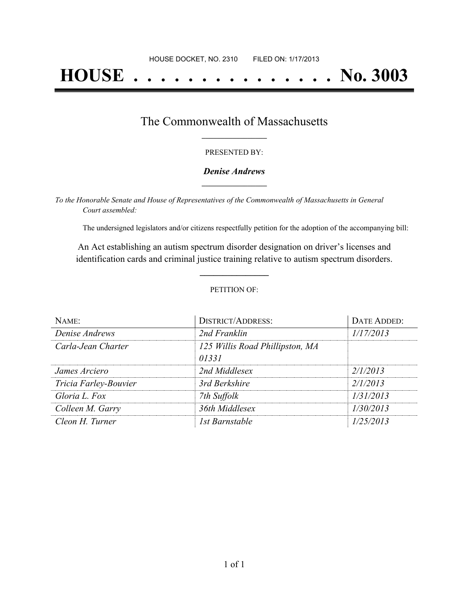# **HOUSE . . . . . . . . . . . . . . . No. 3003**

### The Commonwealth of Massachusetts **\_\_\_\_\_\_\_\_\_\_\_\_\_\_\_\_\_**

#### PRESENTED BY:

#### *Denise Andrews* **\_\_\_\_\_\_\_\_\_\_\_\_\_\_\_\_\_**

*To the Honorable Senate and House of Representatives of the Commonwealth of Massachusetts in General Court assembled:*

The undersigned legislators and/or citizens respectfully petition for the adoption of the accompanying bill:

An Act establishing an autism spectrum disorder designation on driver's licenses and identification cards and criminal justice training relative to autism spectrum disorders.

**\_\_\_\_\_\_\_\_\_\_\_\_\_\_\_**

#### PETITION OF:

| NAME:                 | <b>DISTRICT/ADDRESS:</b>                 | DATE ADDED: |
|-----------------------|------------------------------------------|-------------|
| Denise Andrews        | 2nd Franklin                             | 1/17/2013   |
| Carla-Jean Charter    | 125 Willis Road Phillipston, MA<br>01331 |             |
| James Arciero         | 2nd Middlesex                            | 2/1/2013    |
| Tricia Farley-Bouvier | 3rd Berkshire                            | 2/1/2013    |
| Gloria L. Fox         | 7th Suffolk                              | 1/31/2013   |
| Colleen M. Garry      | 36th Middlesex                           | 1/30/2013   |
| Cleon H. Turner       | 1st Barnstable                           | 1/25/2013   |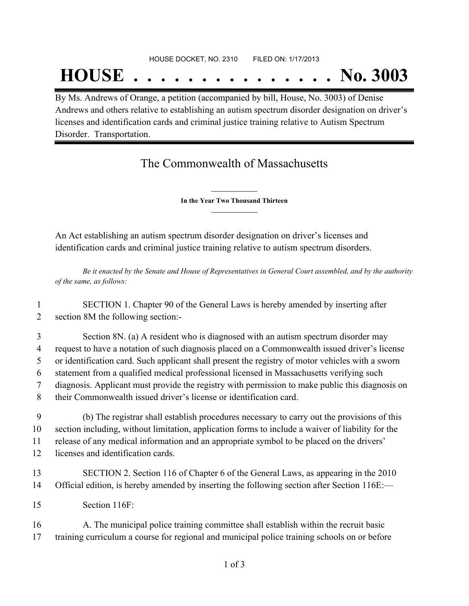## **HOUSE . . . . . . . . . . . . . . . No. 3003**

By Ms. Andrews of Orange, a petition (accompanied by bill, House, No. 3003) of Denise Andrews and others relative to establishing an autism spectrum disorder designation on driver's licenses and identification cards and criminal justice training relative to Autism Spectrum Disorder. Transportation.

## The Commonwealth of Massachusetts

**\_\_\_\_\_\_\_\_\_\_\_\_\_\_\_ In the Year Two Thousand Thirteen \_\_\_\_\_\_\_\_\_\_\_\_\_\_\_**

An Act establishing an autism spectrum disorder designation on driver's licenses and identification cards and criminal justice training relative to autism spectrum disorders.

Be it enacted by the Senate and House of Representatives in General Court assembled, and by the authority *of the same, as follows:*

| SECTION 1. Chapter 90 of the General Laws is hereby amended by inserting after |
|--------------------------------------------------------------------------------|
| section 8M the following section:-                                             |

 Section 8N. (a) A resident who is diagnosed with an autism spectrum disorder may request to have a notation of such diagnosis placed on a Commonwealth issued driver's license or identification card. Such applicant shall present the registry of motor vehicles with a sworn statement from a qualified medical professional licensed in Massachusetts verifying such diagnosis. Applicant must provide the registry with permission to make public this diagnosis on their Commonwealth issued driver's license or identification card.

 (b) The registrar shall establish procedures necessary to carry out the provisions of this section including, without limitation, application forms to include a waiver of liability for the release of any medical information and an appropriate symbol to be placed on the drivers' licenses and identification cards.

- 13 SECTION 2. Section 116 of Chapter 6 of the General Laws, as appearing in the 2010 14 Official edition, is hereby amended by inserting the following section after Section 116E:—
- 15 Section 116F:

16 A. The municipal police training committee shall establish within the recruit basic 17 training curriculum a course for regional and municipal police training schools on or before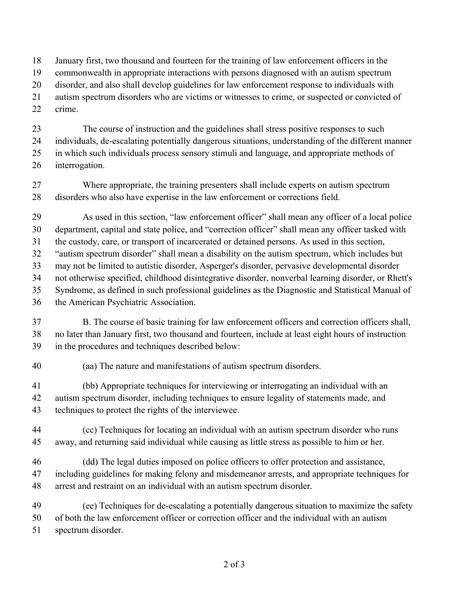January first, two thousand and fourteen for the training of law enforcement officers in the

commonwealth in appropriate interactions with persons diagnosed with an autism spectrum

disorder, and also shall develop guidelines for law enforcement response to individuals with

 autism spectrum disorders who are victims or witnesses to crime, or suspected or convicted of crime.

 The course of instruction and the guidelines shall stress positive responses to such individuals, de-escalating potentially dangerous situations, understanding of the different manner in which such individuals process sensory stimuli and language, and appropriate methods of interrogation.

 Where appropriate, the training presenters shall include experts on autism spectrum disorders who also have expertise in the law enforcement or corrections field.

As used in this section, "law enforcement officer" shall mean any officer of a local police

 department, capital and state police, and "correction officer" shall mean any officer tasked with the custody, care, or transport of incarcerated or detained persons. As used in this section,

"autism spectrum disorder" shall mean a disability on the autism spectrum, which includes but

may not be limited to autistic disorder, Asperger's disorder, pervasive developmental disorder

not otherwise specified, childhood disintegrative disorder, nonverbal learning disorder, or Rhett's

Syndrome, as defined in such professional guidelines as the Diagnostic and Statistical Manual of

the American Psychiatric Association.

 B. The course of basic training for law enforcement officers and correction officers shall, no later than January first, two thousand and fourteen, include at least eight hours of instruction in the procedures and techniques described below:

(aa) The nature and manifestations of autism spectrum disorders.

 (bb) Appropriate techniques for interviewing or interrogating an individual with an autism spectrum disorder, including techniques to ensure legality of statements made, and techniques to protect the rights of the interviewee.

 (cc) Techniques for locating an individual with an autism spectrum disorder who runs away, and returning said individual while causing as little stress as possible to him or her.

 (dd) The legal duties imposed on police officers to offer protection and assistance, including guidelines for making felony and misdemeanor arrests, and appropriate techniques for arrest and restraint on an individual with an autism spectrum disorder.

 (ee) Techniques for de-escalating a potentially dangerous situation to maximize the safety of both the law enforcement officer or correction officer and the individual with an autism

spectrum disorder.